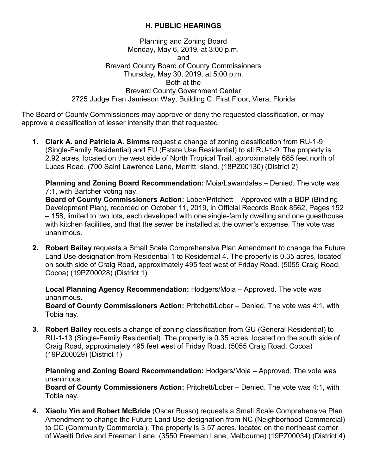## **H. PUBLIC HEARINGS**

## Planning and Zoning Board Monday, May 6, 2019, at 3:00 p.m. and Brevard County Board of County Commissioners Thursday, May 30, 2019, at 5:00 p.m. Both at the Brevard County Government Center 2725 Judge Fran Jamieson Way, Building C, First Floor, Viera, Florida

The Board of County Commissioners may approve or deny the requested classification, or may approve a classification of lesser intensity than that requested.

**1. Clark A. and Patricia A. Simms** request a change of zoning classification from RU-1-9 (Single-Family Residential) and EU (Estate Use Residential) to all RU-1-9. The property is 2.92 acres, located on the west side of North Tropical Trail, approximately 685 feet north of Lucas Road. (700 Saint Lawrence Lane, Merritt Island. (18PZ00130) (District 2)

**Planning and Zoning Board Recommendation:** Moia/Lawandales – Denied. The vote was 7:1, with Bartcher voting nay.

**Board of County Commissioners Action:** Lober/Pritchett – Approved with a BDP (Binding Development Plan), recorded on October 11, 2019, in Official Records Book 8562, Pages 152 – 158, limited to two lots, each developed with one single-family dwelling and one guesthouse with kitchen facilities, and that the sewer be installed at the owner's expense. The vote was unanimous.

**2. Robert Bailey** requests a Small Scale Comprehensive Plan Amendment to change the Future Land Use designation from Residential 1 to Residential 4. The property is 0.35 acres, located on south side of Craig Road, approximately 495 feet west of Friday Road. (5055 Craig Road, Cocoa) (19PZ00028) (District 1)

**Local Planning Agency Recommendation:** Hodgers/Moia – Approved. The vote was unanimous.

**Board of County Commissioners Action:** Pritchett/Lober – Denied. The vote was 4:1, with Tobia nay.

**3. Robert Bailey** requests a change of zoning classification from GU (General Residential) to RU-1-13 (Single-Family Residential). The property is 0.35 acres, located on the south side of Craig Road, approximately 495 feet west of Friday Road. (5055 Craig Road, Cocoa) (19PZ00029) (District 1)

**Planning and Zoning Board Recommendation:** Hodgers/Moia – Approved. The vote was unanimous.

**Board of County Commissioners Action:** Pritchett/Lober – Denied. The vote was 4:1, with Tobia nay.

**4. Xiaolu Yin and Robert McBride** (Oscar Busso) requests a Small Scale Comprehensive Plan Amendment to change the Future Land Use designation from NC (Neighborhood Commercial) to CC (Community Commercial). The property is 3.57 acres, located on the northeast corner of Waelti Drive and Freeman Lane. (3550 Freeman Lane, Melbourne) (19PZ00034) (District 4)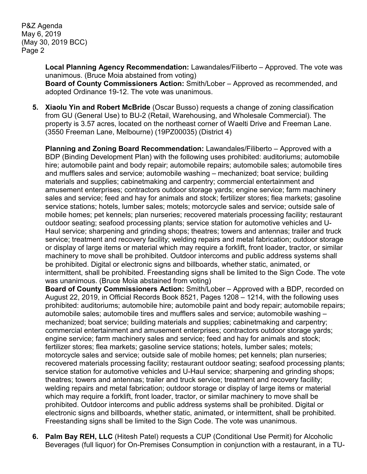P&Z Agenda May 6, 2019 (May 30, 2019 BCC) Page 2

> **Local Planning Agency Recommendation:** Lawandales/Filiberto – Approved. The vote was unanimous. (Bruce Moia abstained from voting) **Board of County Commissioners Action:** Smith/Lober – Approved as recommended, and adopted Ordinance 19-12. The vote was unanimous.

**5. Xiaolu Yin and Robert McBride** (Oscar Busso) requests a change of zoning classification from GU (General Use) to BU-2 (Retail, Warehousing, and Wholesale Commercial). The property is 3.57 acres, located on the northeast corner of Waelti Drive and Freeman Lane. (3550 Freeman Lane, Melbourne) (19PZ00035) (District 4)

**Planning and Zoning Board Recommendation:** Lawandales/Filiberto – Approved with a BDP (Binding Development Plan) with the following uses prohibited: auditoriums; automobile hire; automobile paint and body repair; automobile repairs; automobile sales; automobile tires and mufflers sales and service; automobile washing – mechanized; boat service; building materials and supplies; cabinetmaking and carpentry; commercial entertainment and amusement enterprises; contractors outdoor storage yards; engine service; farm machinery sales and service; feed and hay for animals and stock; fertilizer stores; flea markets; gasoline service stations; hotels, lumber sales; motels; motorcycle sales and service; outside sale of mobile homes; pet kennels; plan nurseries; recovered materials processing facility; restaurant outdoor seating; seafood processing plants; service station for automotive vehicles and U-Haul service; sharpening and grinding shops; theatres; towers and antennas; trailer and truck service; treatment and recovery facility; welding repairs and metal fabrication; outdoor storage or display of large items or material which may require a forklift, front loader, tractor, or similar machinery to move shall be prohibited. Outdoor intercoms and public address systems shall be prohibited. Digital or electronic signs and billboards, whether static, animated, or intermittent, shall be prohibited. Freestanding signs shall be limited to the Sign Code. The vote was unanimous. (Bruce Moia abstained from voting)

**Board of County Commissioners Action:** Smith/Lober – Approved with a BDP, recorded on August 22, 2019, in Official Records Book 8521, Pages 1208 – 1214, with the following uses prohibited: auditoriums; automobile hire; automobile paint and body repair; automobile repairs; automobile sales; automobile tires and mufflers sales and service; automobile washing – mechanized; boat service; building materials and supplies; cabinetmaking and carpentry; commercial entertainment and amusement enterprises; contractors outdoor storage yards; engine service; farm machinery sales and service; feed and hay for animals and stock; fertilizer stores; flea markets; gasoline service stations; hotels, lumber sales; motels; motorcycle sales and service; outside sale of mobile homes; pet kennels; plan nurseries; recovered materials processing facility; restaurant outdoor seating; seafood processing plants; service station for automotive vehicles and U-Haul service; sharpening and grinding shops; theatres; towers and antennas; trailer and truck service; treatment and recovery facility; welding repairs and metal fabrication; outdoor storage or display of large items or material which may require a forklift, front loader, tractor, or similar machinery to move shall be prohibited. Outdoor intercoms and public address systems shall be prohibited. Digital or electronic signs and billboards, whether static, animated, or intermittent, shall be prohibited. Freestanding signs shall be limited to the Sign Code. The vote was unanimous.

**6. Palm Bay REH, LLC** (Hitesh Patel) requests a CUP (Conditional Use Permit) for Alcoholic Beverages (full liquor) for On-Premises Consumption in conjunction with a restaurant, in a TU-